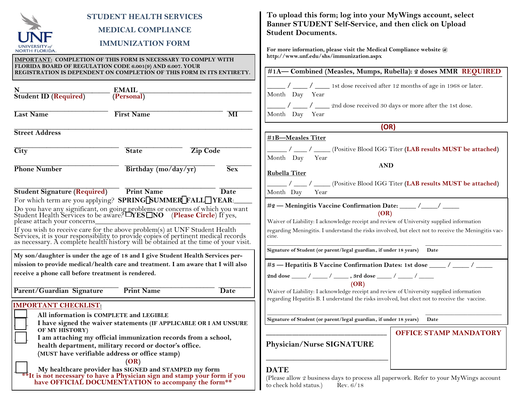| <b>STUDENT HEALTH SERVICES</b><br><b>MEDICAL COMPLIANCE</b><br><b>IMMUNIZATION FORM</b><br><b>NORTH FLORIDA</b><br><b>IMPORTANT: COMPLETION OF THIS FORM IS NECESSARY TO COMPLY WITH</b><br>FLORIDA BOARD OF REGULATION CODE 6.001(9) AND 6.007. YOUR<br>REGISTRATION IS DEPENDENT ON COMPLETION OF THIS FORM IN ITS ENTIRETY.<br><b>EMAIL</b><br><b>Student ID (Required)</b><br>(PersonaI)<br><b>Last Name</b><br><b>First Name</b><br>$\overline{\text{MI}}$                                                                                                             | To upload this form; log into your MyWings account, select<br>Banner STUDENT Self-Service, and then click on Upload<br><b>Student Documents.</b><br>For more information, please visit the Medical Compliance website @<br>http://www.unf.edu/shs/immunization.aspx<br>#1A-Combined (Measles, Mumps, Rubella): 2 doses MMR REQUIRED<br>$\frac{1}{2}$ / _______ 1st dose received after 12 months of age in 1968 or later.<br>Month Day Year<br>/ _____ 2nd dose received 30 days or more after the 1st dose.<br>Month Day Year |
|-----------------------------------------------------------------------------------------------------------------------------------------------------------------------------------------------------------------------------------------------------------------------------------------------------------------------------------------------------------------------------------------------------------------------------------------------------------------------------------------------------------------------------------------------------------------------------|--------------------------------------------------------------------------------------------------------------------------------------------------------------------------------------------------------------------------------------------------------------------------------------------------------------------------------------------------------------------------------------------------------------------------------------------------------------------------------------------------------------------------------|
| <b>Street Address</b>                                                                                                                                                                                                                                                                                                                                                                                                                                                                                                                                                       | (OR)                                                                                                                                                                                                                                                                                                                                                                                                                                                                                                                           |
| <b>Zip Code</b><br>$\overline{\mathrm{City}}$<br><b>State</b><br><b>Phone Number</b><br>Birthday (mo/day/yr)<br>Sex                                                                                                                                                                                                                                                                                                                                                                                                                                                         | #1B-Measles Titer<br>/ ____(Positive Blood IGG Titer (LAB results MUST be attached)<br>Month Day<br>Year<br><b>AND</b><br><b>Rubella Titer</b><br>/ ____(Positive Blood IGG Titer (LAB results MUST be attached)                                                                                                                                                                                                                                                                                                               |
| <b>Print Name</b><br><b>Student Signature (Required)</b><br><b>Date</b>                                                                                                                                                                                                                                                                                                                                                                                                                                                                                                     | Year<br>Month Day                                                                                                                                                                                                                                                                                                                                                                                                                                                                                                              |
| For which term are you applying? SPRING[SUMMER FALL YEAR:<br>Do you have any significant, on going problems or concerns of which you want<br>Student Health Services to be aware? LYES INO (Please Circle) If yes,<br>please attach your concerns_<br>If you wish to receive care for the above problem(s) at UNF Student Health<br>Services, it is your responsibility to provide copies of pertinent medical records<br>as necessary. A complete health history will be obtained at the<br>My son/daughter is under the age of 18 and I give Student Health Services per- | #2 - Meningitis Vaccine Confirmation Date: _____ /____/ _____<br>(OR)<br>Waiver of Liability: I acknowledge receipt and review of University supplied information<br>regarding Meningitis. I understand the risks involved, but elect not to receive the Meningitis vac-<br>cine.<br>Signature of Student (or parent/legal guardian,, if under 18 years)<br>Date                                                                                                                                                               |
| mission to provide medical/health care and treatment. I am aware that I will also                                                                                                                                                                                                                                                                                                                                                                                                                                                                                           | #3 — Hepatitis B Vaccine Confirmation Dates: 1st dose ____/ ___/ ___                                                                                                                                                                                                                                                                                                                                                                                                                                                           |
| receive a phone call before treatment is rendered.                                                                                                                                                                                                                                                                                                                                                                                                                                                                                                                          | 2nd dose _____ / _____ / _____ , 3rd dose _____ / _____ / _____                                                                                                                                                                                                                                                                                                                                                                                                                                                                |
| Parent/Guardian Signature<br><b>Print Name</b><br><b>Date</b>                                                                                                                                                                                                                                                                                                                                                                                                                                                                                                               | (OR)<br>Waiver of Liability: I acknowledge receipt and review of University supplied information<br>regarding Hepatitis B. I understand the risks involved, but elect not to receive the vaccine.                                                                                                                                                                                                                                                                                                                              |
| <b>IMPORTANT CHECKLIST:</b>                                                                                                                                                                                                                                                                                                                                                                                                                                                                                                                                                 |                                                                                                                                                                                                                                                                                                                                                                                                                                                                                                                                |
| All information is COMPLETE and LEGIBLE<br>I have signed the waiver statements (IF APPLICABLE OR I AM UNSURE                                                                                                                                                                                                                                                                                                                                                                                                                                                                | Signature of Student (or parent/legal guardian, if under 18 years)<br>Date                                                                                                                                                                                                                                                                                                                                                                                                                                                     |
| OF MY HISTORY)<br>I am attaching my official immunization records from a school,<br>health department, military record or doctor's office.<br>(MUST have verifiable address or office stamp)<br>(OR)                                                                                                                                                                                                                                                                                                                                                                        | <b>OFFICE STAMP MANDATORY</b><br>Physician/Nurse SIGNATURE                                                                                                                                                                                                                                                                                                                                                                                                                                                                     |
| My healthcare provider has SIGNED and STAMPED my form<br>** It is not necessary to have a Physician sign and stamp your form if you<br>have OFFICIAL DOCUMENTATION to accompany the form**                                                                                                                                                                                                                                                                                                                                                                                  | <b>DATE</b><br>(Please allow 2 business days to process all paperwork. Refer to your MyWings account<br>to check hold status.)<br>Rev. $6/18$                                                                                                                                                                                                                                                                                                                                                                                  |